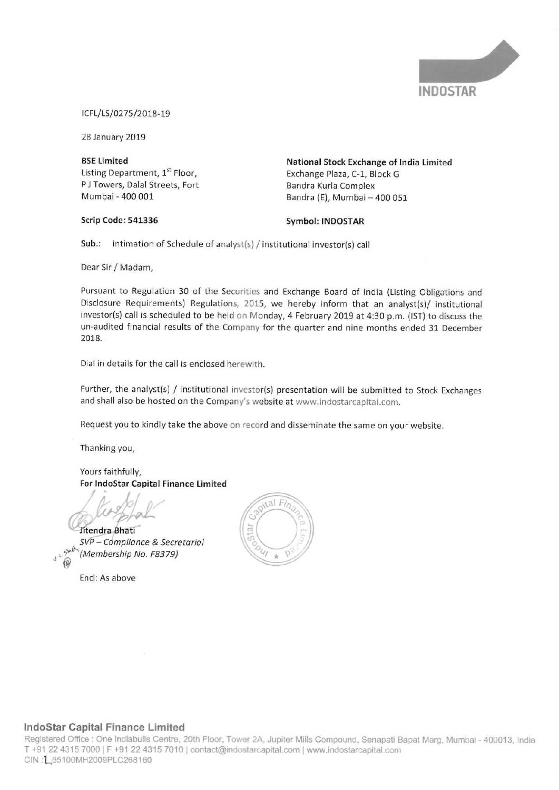

ICFL/LS/0275/2018-19

28 January 2019

**BSE Limited** Listing Department, 1st Floor, PJ Towers, Dalal Streets, Fort Mumbai - 400 001

National Stock Exchange of India Limited Exchange Plaza, C-1, Block G Bandra Kurla Complex Bandra (E), Mumbai - 400 051

### Scrip Code: 541336

**Symbol: INDOSTAR** 

Sub.: Intimation of Schedule of analyst(s) / institutional investor(s) call

Dear Sir / Madam,

Pursuant to Regulation 30 of the Securities and Exchange Board of India (Listing Obligations and Disclosure Requirements) Regulations, 2015, we hereby inform that an analyst(s)/ institutional investor(s) call is scheduled to be held on Monday, 4 February 2019 at 4:30 p.m. (IST) to discuss the un-audited financial results of the Company for the quarter and nine months ended 31 December 2018.

Dial in details for the call is enclosed herewith.

Further, the analyst(s) / institutional investor(s) presentation will be submitted to Stock Exchanges and shall also be hosted on the Company's website at www.indostarcapital.com.

Request you to kindly take the above on record and disseminate the same on your website.

Thanking you,

Yours faithfully, For IndoStar Capital Finance Limited

Jitendra Bhati

SVP - Compliance & Secretarial (Membership No. F8379)

Encl: As above



### IndoStar Capital Finance Limited

Registered Office : One Indiabulls Centre, 20th Floor, Tower 2A, Jupiter Mills Compound, Senapati Bapat Marg, Mumbai - 400013, India T +91 22 4315 7000 | F +91 22 4315 7010 | contact@indostarcapital.com | www.indostarcapital.com CIN: [65100MH2009PLC268160